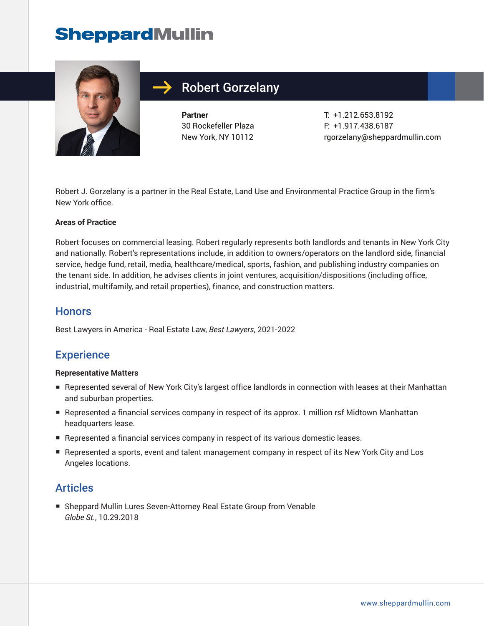# **SheppardMullin**



## Robert Gorzelany

**Partner** 30 Rockefeller Plaza New York, NY 10112 T: +1.212.653.8192 F: +1.917.438.6187 rgorzelany@sheppardmullin.com

Robert J. Gorzelany is a partner in the Real Estate, Land Use and Environmental Practice Group in the firm's New York office.

#### **Areas of Practice**

Robert focuses on commercial leasing. Robert regularly represents both landlords and tenants in New York City and nationally. Robert's representations include, in addition to owners/operators on the landlord side, financial service, hedge fund, retail, media, healthcare/medical, sports, fashion, and publishing industry companies on the tenant side. In addition, he advises clients in joint ventures, acquisition/dispositions (including office, industrial, multifamily, and retail properties), finance, and construction matters.

#### **Honors**

Best Lawyers in America - Real Estate Law, *Best Lawyers*, 2021-2022

## **Experience**

#### **Representative Matters**

- Represented several of New York City's largest office landlords in connection with leases at their Manhattan and suburban properties.
- Represented a financial services company in respect of its approx. 1 million rsf Midtown Manhattan headquarters lease.
- Represented a financial services company in respect of its various domestic leases.
- Represented a sports, event and talent management company in respect of its New York City and Los Angeles locations.

#### **Articles**

■ Sheppard Mullin Lures Seven-Attorney Real Estate Group from Venable *Globe St.*, 10.29.2018